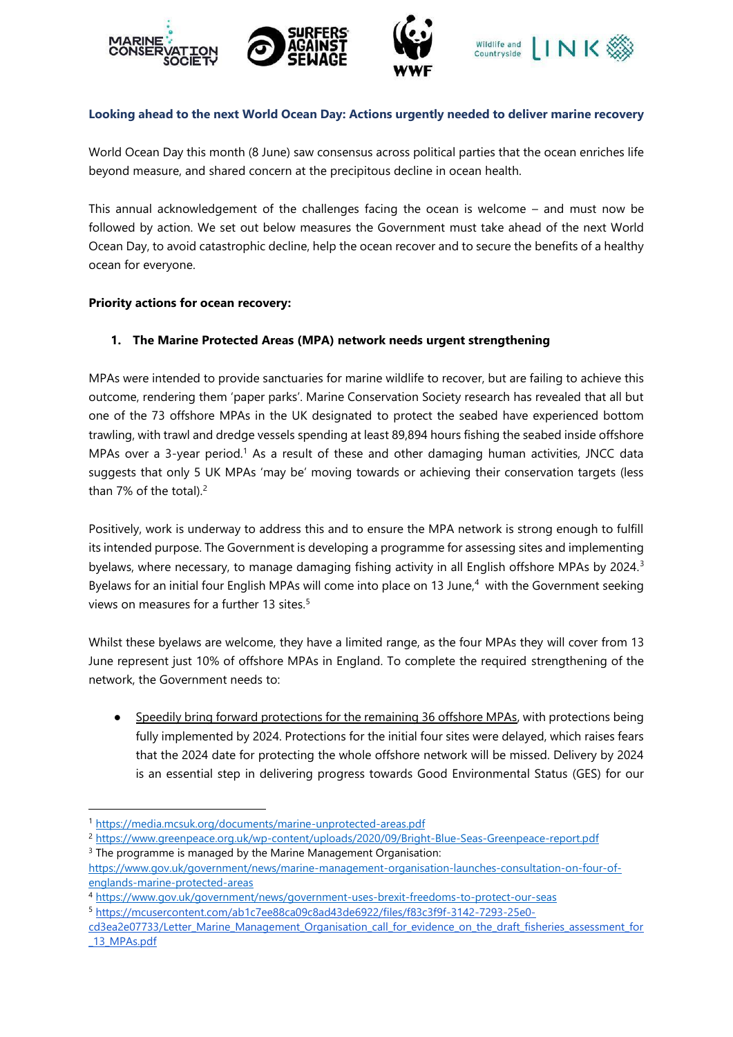







## **Looking ahead to the next World Ocean Day: Actions urgently needed to deliver marine recovery**

World Ocean Day this month (8 June) saw consensus across political parties that the ocean enriches life beyond measure, and shared concern at the precipitous decline in ocean health.

This annual acknowledgement of the challenges facing the ocean is welcome – and must now be followed by action. We set out below measures the Government must take ahead of the next World Ocean Day, to avoid catastrophic decline, help the ocean recover and to secure the benefits of a healthy ocean for everyone.

#### **Priority actions for ocean recovery:**

### **1. The Marine Protected Areas (MPA) network needs urgent strengthening**

MPAs were intended to provide sanctuaries for marine wildlife to recover, but are failing to achieve this outcome, rendering them 'paper parks'. Marine Conservation Society research has revealed that all but one of the 73 offshore MPAs in the UK designated to protect the seabed have experienced bottom trawling, with trawl and dredge vessels spending at least 89,894 hours fishing the seabed inside offshore MPAs over a 3-year period.<sup>1</sup> As a result of these and other damaging human activities, JNCC data suggests that only 5 UK MPAs 'may be' moving towards or achieving their conservation targets (less than 7% of the total). $2$ 

Positively, work is underway to address this and to ensure the MPA network is strong enough to fulfill its intended purpose. The Government is developing a programme for assessing sites and implementing byelaws, where necessary, to manage damaging fishing activity in all English offshore MPAs by 2024.<sup>3</sup> Byelaws for an initial four English MPAs will come into place on 13 June,<sup>4</sup> with the Government seeking views on measures for a further 13 sites.<sup>5</sup>

Whilst these byelaws are welcome, they have a limited range, as the four MPAs they will cover from 13 June represent just 10% of offshore MPAs in England. To complete the required strengthening of the network, the Government needs to:

Speedily bring forward protections for the remaining 36 offshore MPAs, with protections being fully implemented by 2024. Protections for the initial four sites were delayed, which raises fears that the 2024 date for protecting the whole offshore network will be missed. Delivery by 2024 is an essential step in delivering progress towards Good Environmental Status (GES) for our

<sup>2</sup> <https://www.greenpeace.org.uk/wp-content/uploads/2020/09/Bright-Blue-Seas-Greenpeace-report.pdf> <sup>3</sup> The programme is managed by the Marine Management Organisation:

<sup>1</sup> <https://media.mcsuk.org/documents/marine-unprotected-areas.pdf>

[https://www.gov.uk/government/news/marine-management-organisation-launches-consultation-on-four-of](https://www.gov.uk/government/news/marine-management-organisation-launches-consultation-on-four-of-englands-marine-protected-areas)[englands-marine-protected-areas](https://www.gov.uk/government/news/marine-management-organisation-launches-consultation-on-four-of-englands-marine-protected-areas)

<sup>4</sup> <https://www.gov.uk/government/news/government-uses-brexit-freedoms-to-protect-our-seas>

<sup>5</sup> [https://mcusercontent.com/ab1c7ee88ca09c8ad43de6922/files/f83c3f9f-3142-7293-25e0-](https://mcusercontent.com/ab1c7ee88ca09c8ad43de6922/files/f83c3f9f-3142-7293-25e0-cd3ea2e07733/Letter_Marine_Management_Organisation_call_for_evidence_on_the_draft_fisheries_assessment_for_13_MPAs.pdf)

[cd3ea2e07733/Letter\\_Marine\\_Management\\_Organisation\\_call\\_for\\_evidence\\_on\\_the\\_draft\\_fisheries\\_assessment\\_for](https://mcusercontent.com/ab1c7ee88ca09c8ad43de6922/files/f83c3f9f-3142-7293-25e0-cd3ea2e07733/Letter_Marine_Management_Organisation_call_for_evidence_on_the_draft_fisheries_assessment_for_13_MPAs.pdf) [\\_13\\_MPAs.pdf](https://mcusercontent.com/ab1c7ee88ca09c8ad43de6922/files/f83c3f9f-3142-7293-25e0-cd3ea2e07733/Letter_Marine_Management_Organisation_call_for_evidence_on_the_draft_fisheries_assessment_for_13_MPAs.pdf)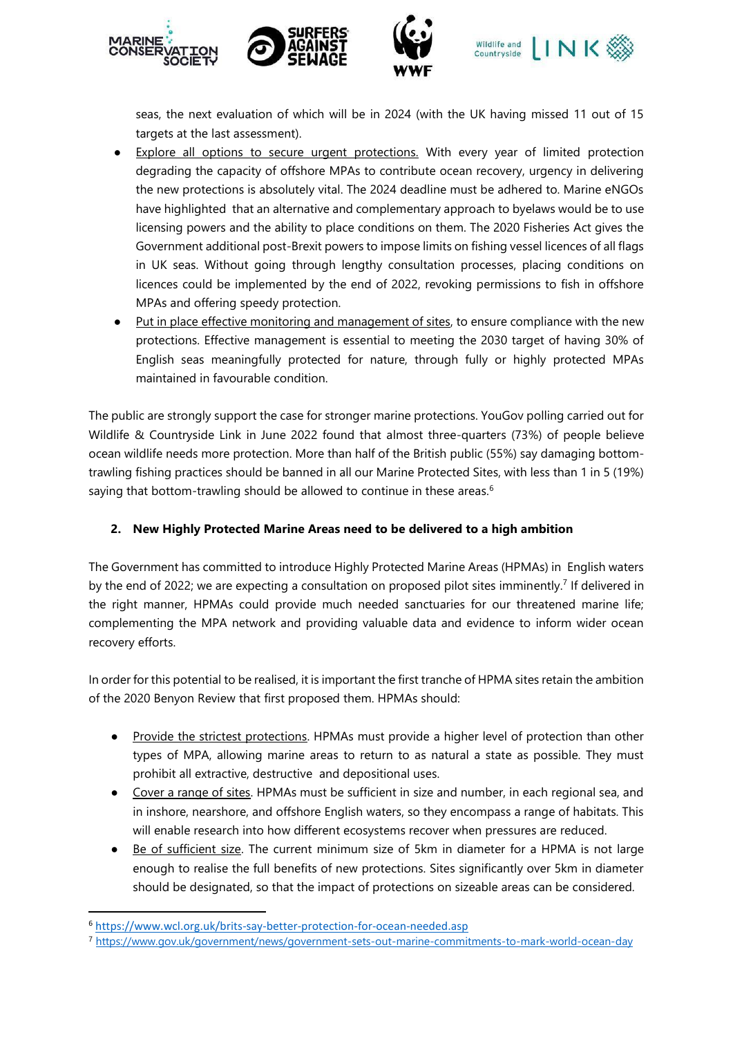

seas, the next evaluation of which will be in 2024 (with the UK having missed 11 out of 15 targets at the last assessment).

- Explore all options to secure urgent protections. With every year of limited protection degrading the capacity of offshore MPAs to contribute ocean recovery, urgency in delivering the new protections is absolutely vital. The 2024 deadline must be adhered to. Marine eNGOs have highlighted that an alternative and complementary approach to byelaws would be to use licensing powers and the ability to place conditions on them. The 2020 Fisheries Act gives the Government additional post-Brexit powers to impose limits on fishing vessel licences of all flags in UK seas. Without going through lengthy consultation processes, placing conditions on licences could be implemented by the end of 2022, revoking permissions to fish in offshore MPAs and offering speedy protection.
- Put in place effective monitoring and management of sites, to ensure compliance with the new protections. Effective management is essential to meeting the 2030 target of having 30% of English seas meaningfully protected for nature, through fully or highly protected MPAs maintained in favourable condition.

The public are strongly support the case for stronger marine protections. YouGov polling carried out for Wildlife & Countryside Link in June 2022 found that almost three-quarters (73%) of people believe ocean wildlife needs more protection. More than half of the British public (55%) say damaging bottomtrawling fishing practices should be banned in all our Marine Protected Sites, with less than 1 in 5 (19%) saying that bottom-trawling should be allowed to continue in these areas.<sup>6</sup>

## **2. New Highly Protected Marine Areas need to be delivered to a high ambition**

The Government has committed to introduce Highly Protected Marine Areas (HPMAs) in English waters by the end of 2022; we are expecting a consultation on proposed pilot sites imminently.<sup>7</sup> If delivered in the right manner, HPMAs could provide much needed sanctuaries for our threatened marine life; complementing the MPA network and providing valuable data and evidence to inform wider ocean recovery efforts.

In order for this potential to be realised, it is important the first tranche of HPMA sites retain the ambition of the 2020 Benyon Review that first proposed them. HPMAs should:

- Provide the strictest protections. HPMAs must provide a higher level of protection than other types of MPA, allowing marine areas to return to as natural a state as possible. They must prohibit all extractive, destructive and depositional uses.
- Cover a range of sites. HPMAs must be sufficient in size and number, in each regional sea, and in inshore, nearshore, and offshore English waters, so they encompass a range of habitats. This will enable research into how different ecosystems recover when pressures are reduced.
- Be of sufficient size. The current minimum size of 5km in diameter for a HPMA is not large enough to realise the full benefits of new protections. Sites significantly over 5km in diameter should be designated, so that the impact of protections on sizeable areas can be considered.

<sup>6</sup> <https://www.wcl.org.uk/brits-say-better-protection-for-ocean-needed.asp>

<sup>7</sup> <https://www.gov.uk/government/news/government-sets-out-marine-commitments-to-mark-world-ocean-day>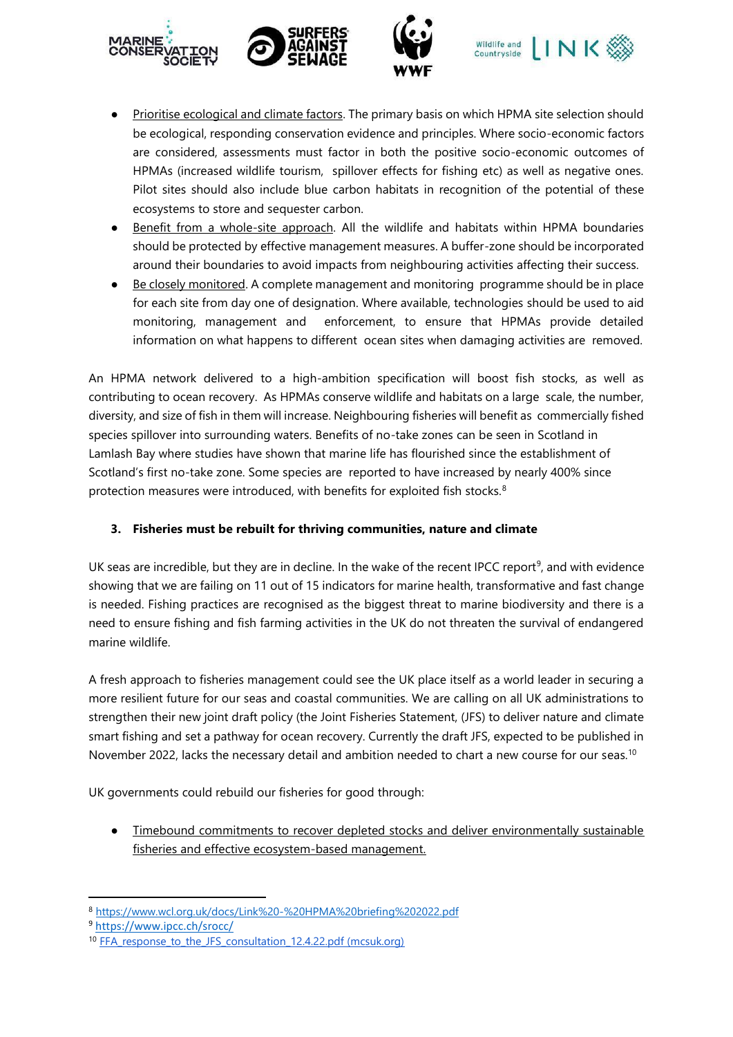







- Prioritise ecological and climate factors. The primary basis on which HPMA site selection should be ecological, responding conservation evidence and principles. Where socio-economic factors are considered, assessments must factor in both the positive socio-economic outcomes of HPMAs (increased wildlife tourism, spillover effects for fishing etc) as well as negative ones. Pilot sites should also include blue carbon habitats in recognition of the potential of these ecosystems to store and sequester carbon.
- Benefit from a whole-site approach. All the wildlife and habitats within HPMA boundaries should be protected by effective management measures. A buffer-zone should be incorporated around their boundaries to avoid impacts from neighbouring activities affecting their success.
- Be closely monitored. A complete management and monitoring programme should be in place for each site from day one of designation. Where available, technologies should be used to aid monitoring, management and enforcement, to ensure that HPMAs provide detailed information on what happens to different ocean sites when damaging activities are removed.

An HPMA network delivered to a high-ambition specification will boost fish stocks, as well as contributing to ocean recovery. As HPMAs conserve wildlife and habitats on a large scale, the number, diversity, and size of fish in them will increase. Neighbouring fisheries will benefit as commercially fished species spillover into surrounding waters. Benefits of no-take zones can be seen in Scotland in Lamlash Bay where studies have shown that marine life has flourished since the establishment of Scotland's first no-take zone. Some species are reported to have increased by nearly 400% since protection measures were introduced, with benefits for exploited fish stocks.<sup>8</sup>

# **3. Fisheries must be rebuilt for thriving communities, nature and climate**

UK seas are incredible, but they are in decline. In the wake of the recent IPCC report<sup>9</sup>, and with evidence showing that we are failing on 11 out of 15 indicators for marine health, transformative and fast change is needed. Fishing practices are recognised as the biggest threat to marine biodiversity and there is a need to ensure fishing and fish farming activities in the UK do not threaten the survival of endangered marine wildlife.

A fresh approach to fisheries management could see the UK place itself as a world leader in securing a more resilient future for our seas and coastal communities. We are calling on all UK administrations to strengthen their new joint draft policy (the Joint Fisheries Statement, (JFS) to deliver nature and climate smart fishing and set a pathway for ocean recovery. Currently the draft JFS, expected to be published in November 2022, lacks the necessary detail and ambition needed to chart a new course for our seas.<sup>10</sup>

UK governments could rebuild our fisheries for good through:

● Timebound commitments to recover depleted stocks and deliver environmentally sustainable fisheries and effective ecosystem-based management.

<sup>8</sup> <https://www.wcl.org.uk/docs/Link%20-%20HPMA%20briefing%202022.pdf>

<sup>9</sup> <https://www.ipcc.ch/srocc/>

<sup>&</sup>lt;sup>10</sup> FFA response to the JFS consultation 12.4.22.pdf (mcsuk.org)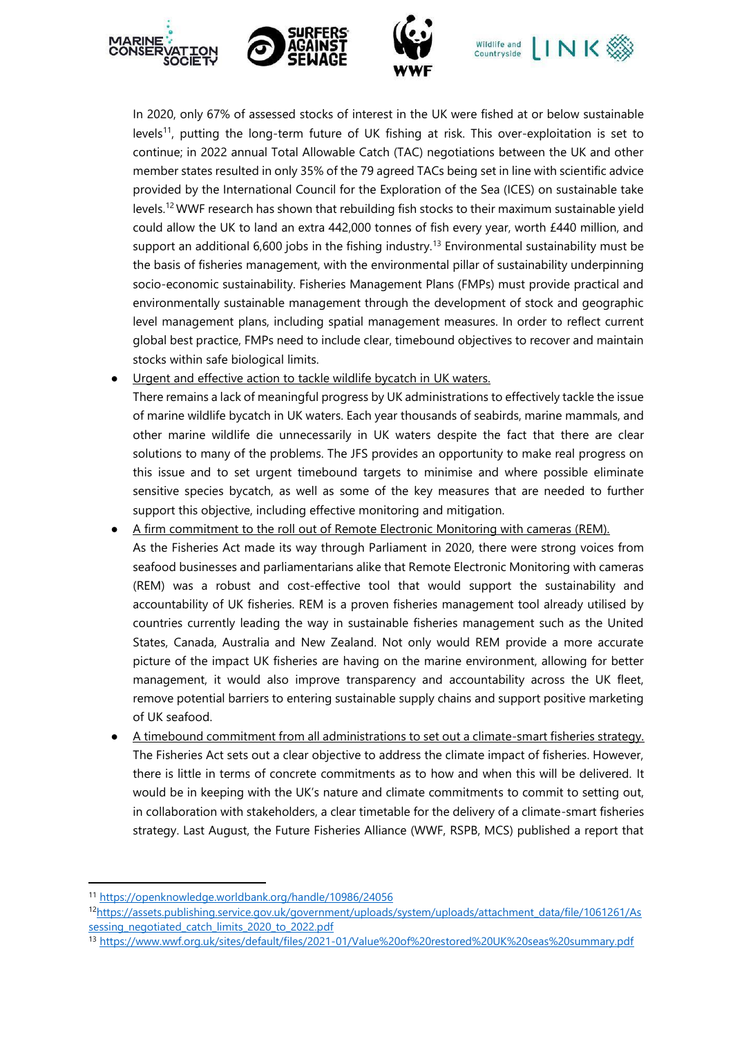



In 2020, only 67% of assessed stocks of interest in the UK were fished at or below sustainable levels<sup>11</sup>, putting the long-term future of UK fishing at risk. This over-exploitation is set to continue; in 2022 annual Total Allowable Catch (TAC) negotiations between the UK and other member states resulted in only 35% of the 79 agreed TACs being set in line with scientific advice provided by the International Council for the Exploration of the Sea (ICES) on sustainable take levels.<sup>12</sup>WWF research has shown that rebuilding fish stocks to their maximum sustainable yield could allow the UK to land an extra 442,000 tonnes of fish every year, worth £440 million, and support an additional 6,600 jobs in the fishing industry.<sup>13</sup> Environmental sustainability must be the basis of fisheries management, with the environmental pillar of sustainability underpinning socio-economic sustainability. Fisheries Management Plans (FMPs) must provide practical and environmentally sustainable management through the development of stock and geographic level management plans, including spatial management measures. In order to reflect current global best practice, FMPs need to include clear, timebound objectives to recover and maintain stocks within safe biological limits.

● Urgent and effective action to tackle wildlife bycatch in UK waters.

There remains a lack of meaningful progress by UK administrations to effectively tackle the issue of marine wildlife bycatch in UK waters. Each year thousands of seabirds, marine mammals, and other marine wildlife die unnecessarily in UK waters despite the fact that there are clear solutions to many of the problems. The JFS provides an opportunity to make real progress on this issue and to set urgent timebound targets to minimise and where possible eliminate sensitive species bycatch, as well as some of the key measures that are needed to further support this objective, including effective monitoring and mitigation.

- A firm commitment to the roll out of Remote Electronic Monitoring with cameras (REM). As the Fisheries Act made its way through Parliament in 2020, there were strong voices from seafood businesses and parliamentarians alike that Remote Electronic Monitoring with cameras (REM) was a robust and cost-effective tool that would support the sustainability and accountability of UK fisheries. REM is a proven fisheries management tool already utilised by countries currently leading the way in sustainable fisheries management such as the United States, Canada, Australia and New Zealand. Not only would REM provide a more accurate picture of the impact UK fisheries are having on the marine environment, allowing for better management, it would also improve transparency and accountability across the UK fleet, remove potential barriers to entering sustainable supply chains and support positive marketing of UK seafood.
- A timebound commitment from all administrations to set out a climate-smart fisheries strategy. The Fisheries Act sets out a clear objective to address the climate impact of fisheries. However, there is little in terms of concrete commitments as to how and when this will be delivered. It would be in keeping with the UK's nature and climate commitments to commit to setting out, in collaboration with stakeholders, a clear timetable for the delivery of a climate-smart fisheries strategy. Last August, the Future Fisheries Alliance (WWF, RSPB, MCS) published a report that

<sup>13</sup> <https://www.wwf.org.uk/sites/default/files/2021-01/Value%20of%20restored%20UK%20seas%20summary.pdf>

<sup>11</sup> <https://openknowledge.worldbank.org/handle/10986/24056>

<sup>12</sup>[https://assets.publishing.service.gov.uk/government/uploads/system/uploads/attachment\\_data/file/1061261/As](https://assets.publishing.service.gov.uk/government/uploads/system/uploads/attachment_data/file/1061261/Assessing_negotiated_catch_limits_2020_to_2022.pdf) [sessing\\_negotiated\\_catch\\_limits\\_2020\\_to\\_2022.pdf](https://assets.publishing.service.gov.uk/government/uploads/system/uploads/attachment_data/file/1061261/Assessing_negotiated_catch_limits_2020_to_2022.pdf)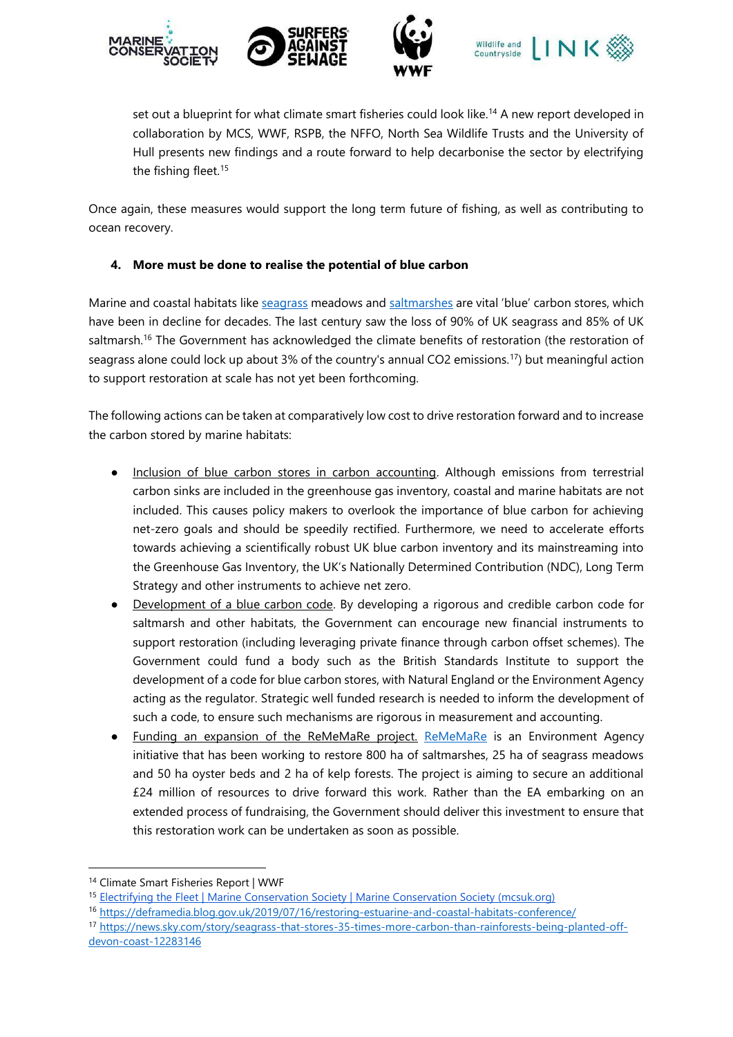







set out a blueprint for what climate smart fisheries could look like.<sup>14</sup> A new report developed in collaboration by MCS, WWF, RSPB, the NFFO, North Sea Wildlife Trusts and the University of Hull presents new findings and a route forward to help decarbonise the sector by electrifying the fishing fleet.<sup>15</sup>

Once again, these measures would support the long term future of fishing, as well as contributing to ocean recovery.

## **4. More must be done to realise the potential of blue carbon**

Marine and coastal habitats lik[e seagrass](https://www.wwf.org.uk/what-we-do/planting-hope-how-seagrass-can-tackle-climate-change) meadows and [saltmarshes](https://www.wwt.org.uk/news-and-stories/blog/salt-marshes-the-most-effective-carbon-sinks-on-earth) are vital 'blue' carbon stores, which have been in decline for decades. The last century saw the loss of 90% of UK seagrass and 85% of UK saltmarsh.<sup>16</sup> The Government has acknowledged the climate benefits of restoration (the restoration of seagrass alone could lock up about 3% of the country's annual CO2 emissions.<sup>17</sup>) but meaningful action to support restoration at scale has not yet been forthcoming.

The following actions can be taken at comparatively low cost to drive restoration forward and to increase the carbon stored by marine habitats:

- Inclusion of blue carbon stores in carbon accounting. Although emissions from terrestrial carbon sinks are included in the greenhouse gas inventory, coastal and marine habitats are not included. This causes policy makers to overlook the importance of blue carbon for achieving net-zero goals and should be speedily rectified. Furthermore, we need to accelerate efforts towards achieving a scientifically robust UK blue carbon inventory and its mainstreaming into the Greenhouse Gas Inventory, the UK's Nationally Determined Contribution (NDC), Long Term Strategy and other instruments to achieve net zero.
- Development of a blue carbon code. By developing a rigorous and credible carbon code for saltmarsh and other habitats, the Government can encourage new financial instruments to support restoration (including leveraging private finance through carbon offset schemes). The Government could fund a body such as the British Standards Institute to support the development of a code for blue carbon stores, with Natural England or the Environment Agency acting as the regulator. Strategic well funded research is needed to inform the development of such a code, to ensure such mechanisms are rigorous in measurement and accounting.
- Funding an expansion of the ReMeMaRe project. [ReMeMaRe](https://ecsa.international/reach/restoring-meadow-marsh-and-reef-rememare) is an Environment Agency initiative that has been working to restore 800 ha of saltmarshes, 25 ha of seagrass meadows and 50 ha oyster beds and 2 ha of kelp forests. The project is aiming to secure an additional £24 million of resources to drive forward this work. Rather than the EA embarking on an extended process of fundraising, the Government should deliver this investment to ensure that this restoration work can be undertaken as soon as possible.

<sup>14</sup> [Climate Smart Fisheries Report | WWF](https://www.wwf.org.uk/achieving-climate-smart-fisheries)

<sup>15</sup> [Electrifying the Fleet | Marine Conservation Society | Marine Conservation Society \(mcsuk.org\)](https://www.mcsuk.org/ocean-emergency/climate-change/climate-and-fishing/report-electrifying-the-fleet/)

<sup>16</sup> <https://deframedia.blog.gov.uk/2019/07/16/restoring-estuarine-and-coastal-habitats-conference/>

<sup>17</sup> [https://news.sky.com/story/seagrass-that-stores-35-times-more-carbon-than-rainforests-being-planted-off](https://news.sky.com/story/seagrass-that-stores-35-times-more-carbon-than-rainforests-being-planted-off-devon-coast-12283146)[devon-coast-12283146](https://news.sky.com/story/seagrass-that-stores-35-times-more-carbon-than-rainforests-being-planted-off-devon-coast-12283146)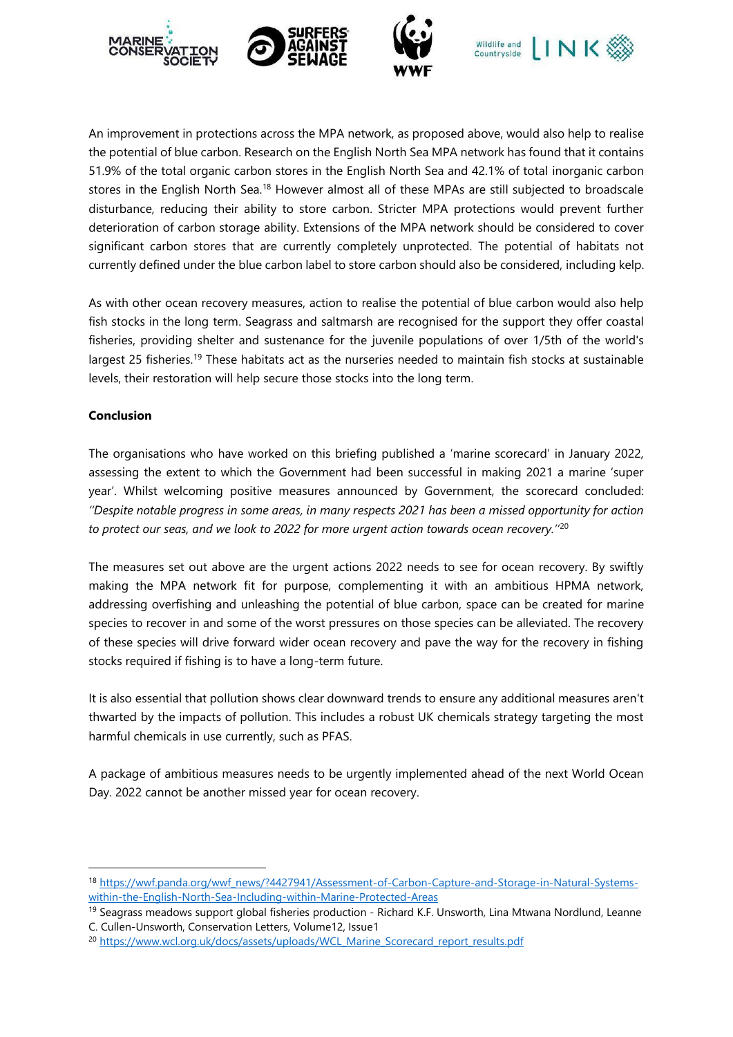

An improvement in protections across the MPA network, as proposed above, would also help to realise the potential of blue carbon. Research on the English North Sea MPA network has found that it contains 51.9% of the total organic carbon stores in the English North Sea and 42.1% of total inorganic carbon stores in the English North Sea.<sup>18</sup> However almost all of these MPAs are still subjected to broadscale disturbance, reducing their ability to store carbon. Stricter MPA protections would prevent further deterioration of carbon storage ability. Extensions of the MPA network should be considered to cover significant carbon stores that are currently completely unprotected. The potential of habitats not currently defined under the blue carbon label to store carbon should also be considered, including kelp.

As with other ocean recovery measures, action to realise the potential of blue carbon would also help fish stocks in the long term. Seagrass and saltmarsh are recognised for the support they offer coastal fisheries, providing shelter and sustenance for the juvenile populations of over 1/5th of the world's largest 25 fisheries.<sup>19</sup> These habitats act as the nurseries needed to maintain fish stocks at sustainable levels, their restoration will help secure those stocks into the long term.

### **Conclusion**

The organisations who have worked on this briefing published a 'marine scorecard' in January 2022, assessing the extent to which the Government had been successful in making 2021 a marine 'super year'. Whilst welcoming positive measures announced by Government, the scorecard concluded: *''Despite notable progress in some areas, in many respects 2021 has been a missed opportunity for action to protect our seas, and we look to 2022 for more urgent action towards ocean recovery.''*<sup>20</sup>

The measures set out above are the urgent actions 2022 needs to see for ocean recovery. By swiftly making the MPA network fit for purpose, complementing it with an ambitious HPMA network, addressing overfishing and unleashing the potential of blue carbon, space can be created for marine species to recover in and some of the worst pressures on those species can be alleviated. The recovery of these species will drive forward wider ocean recovery and pave the way for the recovery in fishing stocks required if fishing is to have a long-term future.

It is also essential that pollution shows clear downward trends to ensure any additional measures aren't thwarted by the impacts of pollution. This includes a robust UK chemicals strategy targeting the most harmful chemicals in use currently, such as PFAS.

A package of ambitious measures needs to be urgently implemented ahead of the next World Ocean Day. 2022 cannot be another missed year for ocean recovery.

<sup>18</sup> [https://wwf.panda.org/wwf\\_news/?4427941/Assessment-of-Carbon-Capture-and-Storage-in-Natural-Systems](https://wwf.panda.org/wwf_news/?4427941/Assessment-of-Carbon-Capture-and-Storage-in-Natural-Systems-within-the-English-North-Sea-Including-within-Marine-Protected-Areas)[within-the-English-North-Sea-Including-within-Marine-Protected-Areas](https://wwf.panda.org/wwf_news/?4427941/Assessment-of-Carbon-Capture-and-Storage-in-Natural-Systems-within-the-English-North-Sea-Including-within-Marine-Protected-Areas)

<sup>&</sup>lt;sup>19</sup> Seagrass meadows support global fisheries production - Richard K.F. Unsworth, Lina Mtwana Nordlund, Leanne C. Cullen-Unsworth, Conservation Letters, Volume12, Issue1

<sup>&</sup>lt;sup>20</sup> [https://www.wcl.org.uk/docs/assets/uploads/WCL\\_Marine\\_Scorecard\\_report\\_results.pdf](https://www.wcl.org.uk/docs/assets/uploads/WCL_Marine_Scorecard_report_results.pdf)